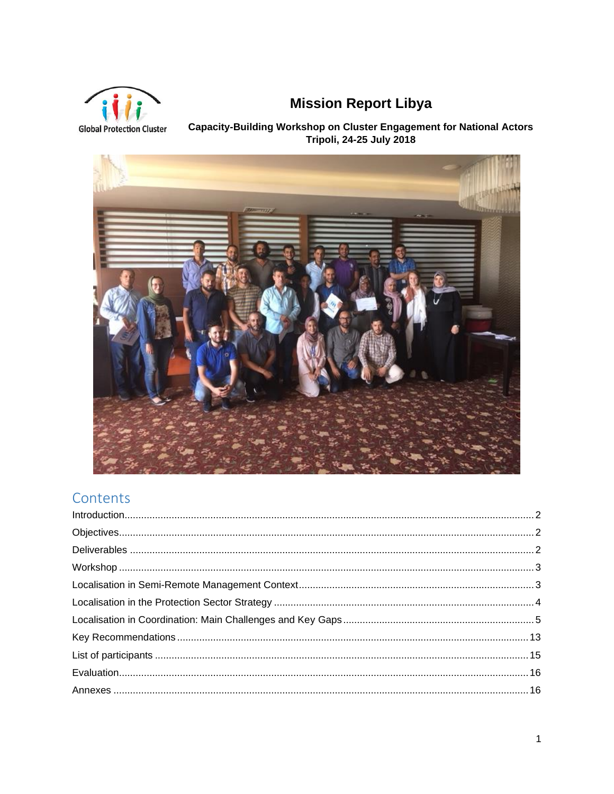

# **Mission Report Libya**

Capacity-Building Workshop on Cluster Engagement for National Actors<br>Tripoli, 24-25 July 2018



## Contents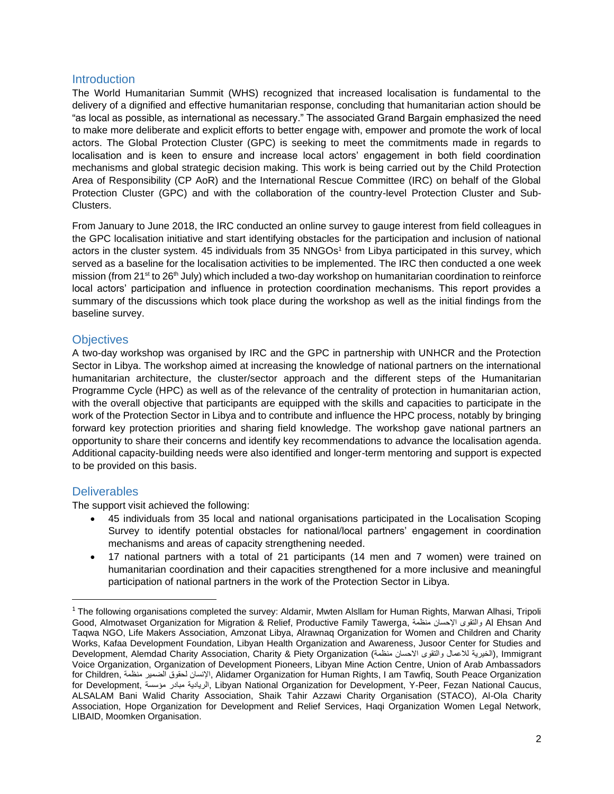## <span id="page-1-0"></span>**Introduction**

The World Humanitarian Summit (WHS) recognized that increased localisation is fundamental to the delivery of a dignified and effective humanitarian response, concluding that humanitarian action should be "as local as possible, as international as necessary." The associated Grand Bargain emphasized the need to make more deliberate and explicit efforts to better engage with, empower and promote the work of local actors. The Global Protection Cluster (GPC) is seeking to meet the commitments made in regards to localisation and is keen to ensure and increase local actors' engagement in both field coordination mechanisms and global strategic decision making. This work is being carried out by the Child Protection Area of Responsibility (CP AoR) and the International Rescue Committee (IRC) on behalf of the Global Protection Cluster (GPC) and with the collaboration of the country-level Protection Cluster and Sub-Clusters.

From January to June 2018, the IRC conducted an online survey to gauge interest from field colleagues in the GPC localisation initiative and start identifying obstacles for the participation and inclusion of national actors in the cluster system. 45 individuals from 35 NNGOs<sup>1</sup> from Libya participated in this survey, which served as a baseline for the localisation activities to be implemented. The IRC then conducted a one week mission (from 21<sup>st</sup> to 26<sup>th</sup> July) which included a two-day workshop on humanitarian coordination to reinforce local actors' participation and influence in protection coordination mechanisms. This report provides a summary of the discussions which took place during the workshop as well as the initial findings from the baseline survey.

## <span id="page-1-1"></span>**Objectives**

A two-day workshop was organised by IRC and the GPC in partnership with UNHCR and the Protection Sector in Libya. The workshop aimed at increasing the knowledge of national partners on the international humanitarian architecture, the cluster/sector approach and the different steps of the Humanitarian Programme Cycle (HPC) as well as of the relevance of the centrality of protection in humanitarian action, with the overall objective that participants are equipped with the skills and capacities to participate in the work of the Protection Sector in Libya and to contribute and influence the HPC process, notably by bringing forward key protection priorities and sharing field knowledge. The workshop gave national partners an opportunity to share their concerns and identify key recommendations to advance the localisation agenda. Additional capacity-building needs were also identified and longer-term mentoring and support is expected to be provided on this basis.

## <span id="page-1-2"></span>**Deliverables**

 $\overline{\phantom{a}}$ 

The support visit achieved the following:

- 45 individuals from 35 local and national organisations participated in the Localisation Scoping Survey to identify potential obstacles for national/local partners' engagement in coordination mechanisms and areas of capacity strengthening needed.
- 17 national partners with a total of 21 participants (14 men and 7 women) were trained on humanitarian coordination and their capacities strengthened for a more inclusive and meaningful participation of national partners in the work of the Protection Sector in Libya.

 $1$  The following organisations completed the survey: Aldamir, Mwten Alsllam for Human Rights, Marwan Alhasi, Tripoli Good, Almotwaset Organization for Migration & Relief, Productive Family Tawerga, منظمة اإلحسان والتقوى Al Ehsan And Taqwa NGO, Life Makers Association, Amzonat Libya, Alrawnaq Organization for Women and Children and Charity Works, Kafaa Development Foundation, Libyan Health Organization and Awareness, Jusoor Center for Studies and Development, Alemdad Charity Association, Charity & Piety Organization (الخيرية للاعمال والتقوى الاحسان منظمة) Voice Organization, Organization of Development Pioneers, Libyan Mine Action Centre, Union of Arab Ambassadors for Children, منظمة الضمير لحقوق اإلنسان, Alidamer Organization for Human Rights, I am Tawfiq, South Peace Organization for Development, مؤسسة مبادر الريادية, Libyan National Organization for Development, Y-Peer, Fezan National Caucus, ALSALAM Bani Walid Charity Association, Shaik Tahir Azzawi Charity Organisation (STACO), Al-Ola Charity Association, Hope Organization for Development and Relief Services, Haqi Organization Women Legal Network, LIBAID, Moomken Organisation.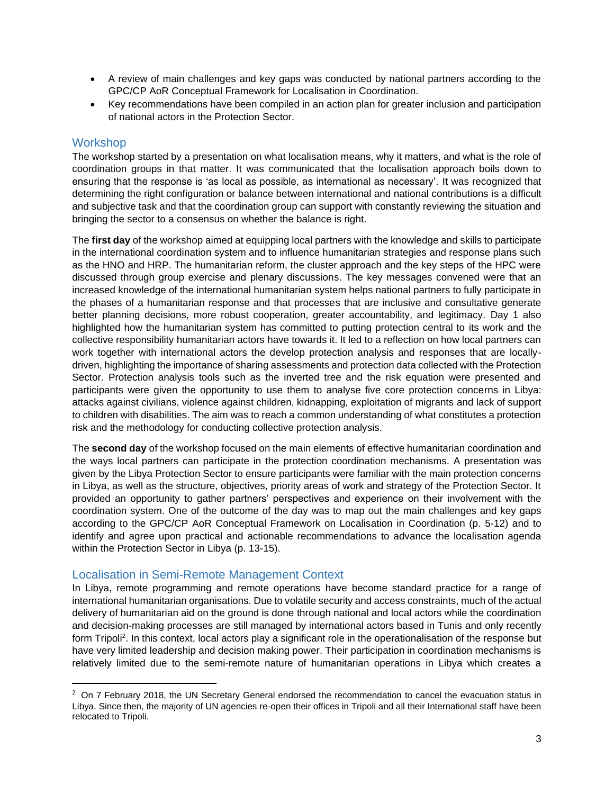- A review of main challenges and key gaps was conducted by national partners according to the GPC/CP AoR Conceptual Framework for Localisation in Coordination.
- Key recommendations have been compiled in an action plan for greater inclusion and participation of national actors in the Protection Sector.

## <span id="page-2-0"></span>**Workshop**

l

The workshop started by a presentation on what localisation means, why it matters, and what is the role of coordination groups in that matter. It was communicated that the localisation approach boils down to ensuring that the response is 'as local as possible, as international as necessary'. It was recognized that determining the right configuration or balance between international and national contributions is a difficult and subjective task and that the coordination group can support with constantly reviewing the situation and bringing the sector to a consensus on whether the balance is right.

The **first day** of the workshop aimed at equipping local partners with the knowledge and skills to participate in the international coordination system and to influence humanitarian strategies and response plans such as the HNO and HRP. The humanitarian reform, the cluster approach and the key steps of the HPC were discussed through group exercise and plenary discussions. The key messages convened were that an increased knowledge of the international humanitarian system helps national partners to fully participate in the phases of a humanitarian response and that processes that are inclusive and consultative generate better planning decisions, more robust cooperation, greater accountability, and legitimacy. Day 1 also highlighted how the humanitarian system has committed to putting protection central to its work and the collective responsibility humanitarian actors have towards it. It led to a reflection on how local partners can work together with international actors the develop protection analysis and responses that are locallydriven, highlighting the importance of sharing assessments and protection data collected with the Protection Sector. Protection analysis tools such as the inverted tree and the risk equation were presented and participants were given the opportunity to use them to analyse five core protection concerns in Libya: attacks against civilians, violence against children, kidnapping, exploitation of migrants and lack of support to children with disabilities. The aim was to reach a common understanding of what constitutes a protection risk and the methodology for conducting collective protection analysis.

The **second day** of the workshop focused on the main elements of effective humanitarian coordination and the ways local partners can participate in the protection coordination mechanisms. A presentation was given by the Libya Protection Sector to ensure participants were familiar with the main protection concerns in Libya, as well as the structure, objectives, priority areas of work and strategy of the Protection Sector. It provided an opportunity to gather partners' perspectives and experience on their involvement with the coordination system. One of the outcome of the day was to map out the main challenges and key gaps according to the GPC/CP AoR Conceptual Framework on Localisation in Coordination (p. 5-12) and to identify and agree upon practical and actionable recommendations to advance the localisation agenda within the Protection Sector in Libya (p. 13-15).

## <span id="page-2-1"></span>Localisation in Semi-Remote Management Context

In Libya, remote programming and remote operations have become standard practice for a range of international humanitarian organisations. Due to volatile security and access constraints, much of the actual delivery of humanitarian aid on the ground is done through national and local actors while the coordination and decision-making processes are still managed by international actors based in Tunis and only recently form Tripoli<sup>2</sup>. In this context, local actors play a significant role in the operationalisation of the response but have very limited leadership and decision making power. Their participation in coordination mechanisms is relatively limited due to the semi-remote nature of humanitarian operations in Libya which creates a

<sup>&</sup>lt;sup>2</sup> On 7 February 2018, the UN Secretary General endorsed the recommendation to cancel the evacuation status in Libya. Since then, the majority of UN agencies re-open their offices in Tripoli and all their International staff have been relocated to Tripoli.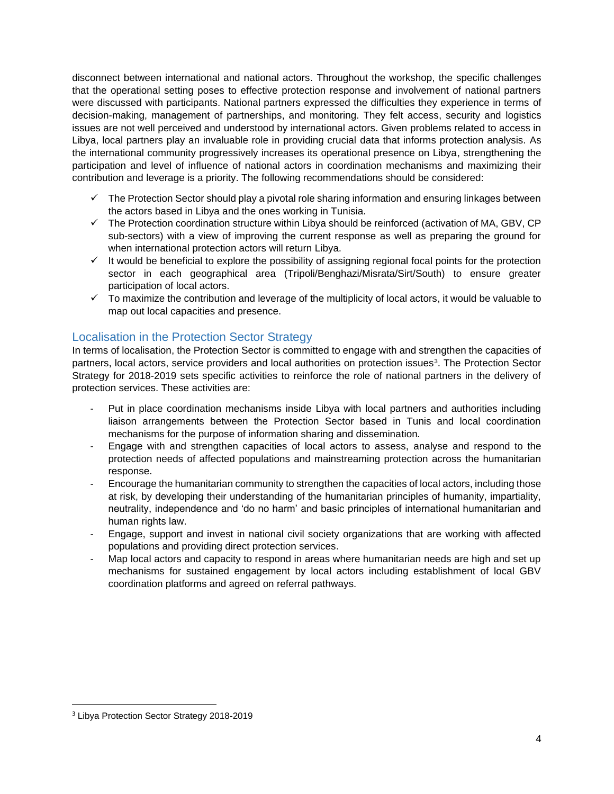disconnect between international and national actors. Throughout the workshop, the specific challenges that the operational setting poses to effective protection response and involvement of national partners were discussed with participants. National partners expressed the difficulties they experience in terms of decision-making, management of partnerships, and monitoring. They felt access, security and logistics issues are not well perceived and understood by international actors. Given problems related to access in Libya, local partners play an invaluable role in providing crucial data that informs protection analysis. As the international community progressively increases its operational presence on Libya, strengthening the participation and level of influence of national actors in coordination mechanisms and maximizing their contribution and leverage is a priority. The following recommendations should be considered:

- $\checkmark$  The Protection Sector should play a pivotal role sharing information and ensuring linkages between the actors based in Libya and the ones working in Tunisia.
- $\checkmark$  The Protection coordination structure within Libya should be reinforced (activation of MA, GBV, CP sub-sectors) with a view of improving the current response as well as preparing the ground for when international protection actors will return Libya.
- $\checkmark$  It would be beneficial to explore the possibility of assigning regional focal points for the protection sector in each geographical area (Tripoli/Benghazi/Misrata/Sirt/South) to ensure greater participation of local actors.
- $\checkmark$  To maximize the contribution and leverage of the multiplicity of local actors, it would be valuable to map out local capacities and presence.

## <span id="page-3-0"></span>Localisation in the Protection Sector Strategy

In terms of localisation, the Protection Sector is committed to engage with and strengthen the capacities of partners, local actors, service providers and local authorities on protection issues<sup>3</sup>. The Protection Sector Strategy for 2018-2019 sets specific activities to reinforce the role of national partners in the delivery of protection services. These activities are:

- Put in place coordination mechanisms inside Libya with local partners and authorities including liaison arrangements between the Protection Sector based in Tunis and local coordination mechanisms for the purpose of information sharing and dissemination*.*
- Engage with and strengthen capacities of local actors to assess, analyse and respond to the protection needs of affected populations and mainstreaming protection across the humanitarian response.
- Encourage the humanitarian community to strengthen the capacities of local actors, including those at risk, by developing their understanding of the humanitarian principles of humanity, impartiality, neutrality, independence and 'do no harm' and basic principles of international humanitarian and human rights law.
- Engage, support and invest in national civil society organizations that are working with affected populations and providing direct protection services.
- Map local actors and capacity to respond in areas where humanitarian needs are high and set up mechanisms for sustained engagement by local actors including establishment of local GBV coordination platforms and agreed on referral pathways*.*

 $\overline{\phantom{a}}$ 

<sup>&</sup>lt;sup>3</sup> Libya Protection Sector Strategy 2018-2019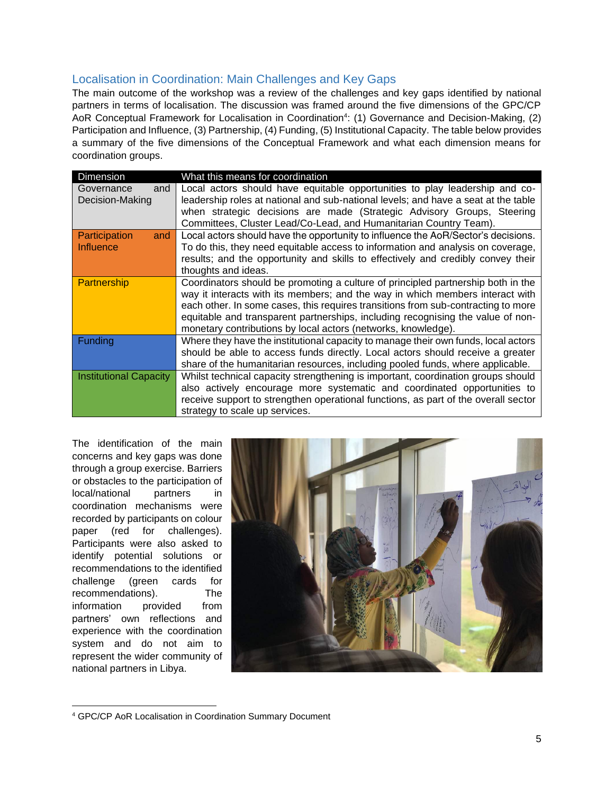## <span id="page-4-0"></span>Localisation in Coordination: Main Challenges and Key Gaps

The main outcome of the workshop was a review of the challenges and key gaps identified by national partners in terms of localisation. The discussion was framed around the five dimensions of the GPC/CP AoR Conceptual Framework for Localisation in Coordination<sup>4</sup>: (1) Governance and Decision-Making, (2) Participation and Influence, (3) Partnership, (4) Funding, (5) Institutional Capacity. The table below provides a summary of the five dimensions of the Conceptual Framework and what each dimension means for coordination groups.

| Dimension                     | What this means for coordination                                                   |
|-------------------------------|------------------------------------------------------------------------------------|
| Governance<br>and             | Local actors should have equitable opportunities to play leadership and co-        |
| Decision-Making               | leadership roles at national and sub-national levels; and have a seat at the table |
|                               | when strategic decisions are made (Strategic Advisory Groups, Steering             |
|                               | Committees, Cluster Lead/Co-Lead, and Humanitarian Country Team).                  |
| Participation<br>and          | Local actors should have the opportunity to influence the AoR/Sector's decisions.  |
| Influence                     | To do this, they need equitable access to information and analysis on coverage,    |
|                               | results; and the opportunity and skills to effectively and credibly convey their   |
|                               | thoughts and ideas.                                                                |
| Partnership                   | Coordinators should be promoting a culture of principled partnership both in the   |
|                               | way it interacts with its members; and the way in which members interact with      |
|                               | each other. In some cases, this requires transitions from sub-contracting to more  |
|                               | equitable and transparent partnerships, including recognising the value of non-    |
|                               | monetary contributions by local actors (networks, knowledge).                      |
| Funding                       | Where they have the institutional capacity to manage their own funds, local actors |
|                               | should be able to access funds directly. Local actors should receive a greater     |
|                               | share of the humanitarian resources, including pooled funds, where applicable.     |
| <b>Institutional Capacity</b> | Whilst technical capacity strengthening is important, coordination groups should   |
|                               | also actively encourage more systematic and coordinated opportunities to           |
|                               | receive support to strengthen operational functions, as part of the overall sector |
|                               | strategy to scale up services.                                                     |

The identification of the main concerns and key gaps was done through a group exercise. Barriers or obstacles to the participation of local/national partners in coordination mechanisms were recorded by participants on colour paper (red for challenges). Participants were also asked to identify potential solutions or recommendations to the identified challenge (green cards for recommendations). The information provided from partners' own reflections and experience with the coordination system and do not aim to represent the wider community of national partners in Libya.



 $\overline{\phantom{a}}$ <sup>4</sup> GPC/CP AoR Localisation in Coordination Summary Document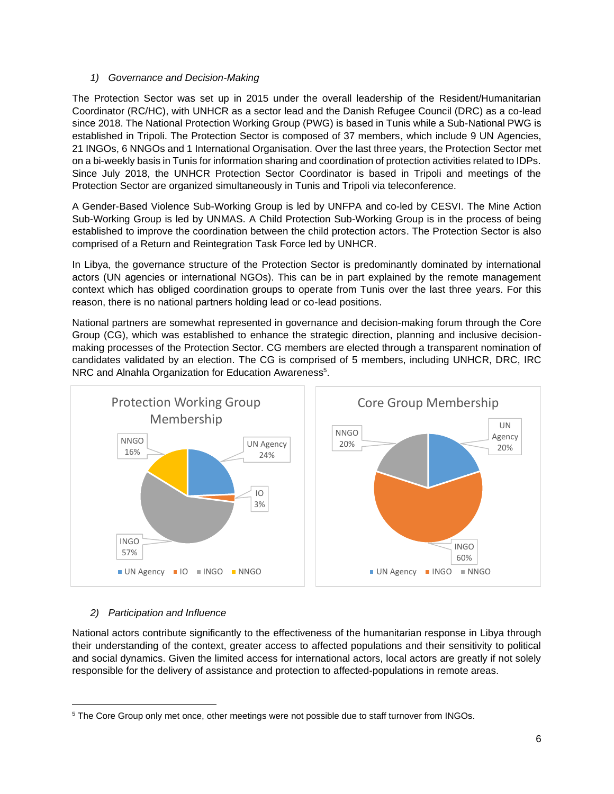#### *1) Governance and Decision-Making*

The Protection Sector was set up in 2015 under the overall leadership of the Resident/Humanitarian Coordinator (RC/HC), with UNHCR as a sector lead and the Danish Refugee Council (DRC) as a co-lead since 2018. The National Protection Working Group (PWG) is based in Tunis while a Sub-National PWG is established in Tripoli. The Protection Sector is composed of 37 members, which include 9 UN Agencies, 21 INGOs, 6 NNGOs and 1 International Organisation. Over the last three years, the Protection Sector met on a bi-weekly basis in Tunis for information sharing and coordination of protection activities related to IDPs. Since July 2018, the UNHCR Protection Sector Coordinator is based in Tripoli and meetings of the Protection Sector are organized simultaneously in Tunis and Tripoli via teleconference.

A Gender-Based Violence Sub-Working Group is led by UNFPA and co-led by CESVI. The Mine Action Sub-Working Group is led by UNMAS. A Child Protection Sub-Working Group is in the process of being established to improve the coordination between the child protection actors. The Protection Sector is also comprised of a Return and Reintegration Task Force led by UNHCR.

In Libya, the governance structure of the Protection Sector is predominantly dominated by international actors (UN agencies or international NGOs). This can be in part explained by the remote management context which has obliged coordination groups to operate from Tunis over the last three years. For this reason, there is no national partners holding lead or co-lead positions.

National partners are somewhat represented in governance and decision-making forum through the Core Group (CG), which was established to enhance the strategic direction, planning and inclusive decisionmaking processes of the Protection Sector. CG members are elected through a transparent nomination of candidates validated by an election. The CG is comprised of 5 members, including UNHCR, DRC, IRC NRC and Alnahla Organization for Education Awareness<sup>5</sup>.



#### *2) Participation and Influence*

 $\overline{\phantom{a}}$ 

National actors contribute significantly to the effectiveness of the humanitarian response in Libya through their understanding of the context, greater access to affected populations and their sensitivity to political and social dynamics. Given the limited access for international actors, local actors are greatly if not solely responsible for the delivery of assistance and protection to affected-populations in remote areas.

<sup>&</sup>lt;sup>5</sup> The Core Group only met once, other meetings were not possible due to staff turnover from INGOs.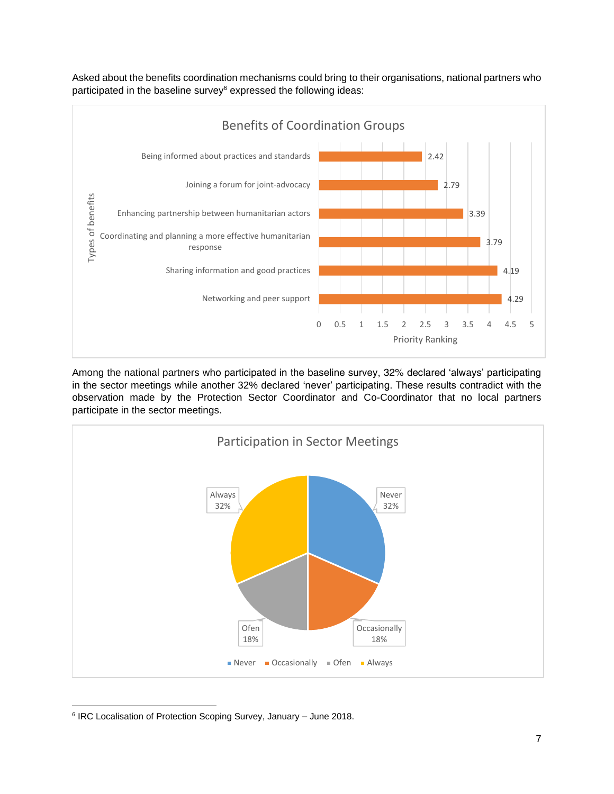Asked about the benefits coordination mechanisms could bring to their organisations, national partners who participated in the baseline survey<sup>6</sup> expressed the following ideas:



Among the national partners who participated in the baseline survey, 32% declared 'always' participating in the sector meetings while another 32% declared 'never' participating. These results contradict with the observation made by the Protection Sector Coordinator and Co-Coordinator that no local partners participate in the sector meetings.



 $\overline{\phantom{a}}$ 6 IRC Localisation of Protection Scoping Survey, January – June 2018.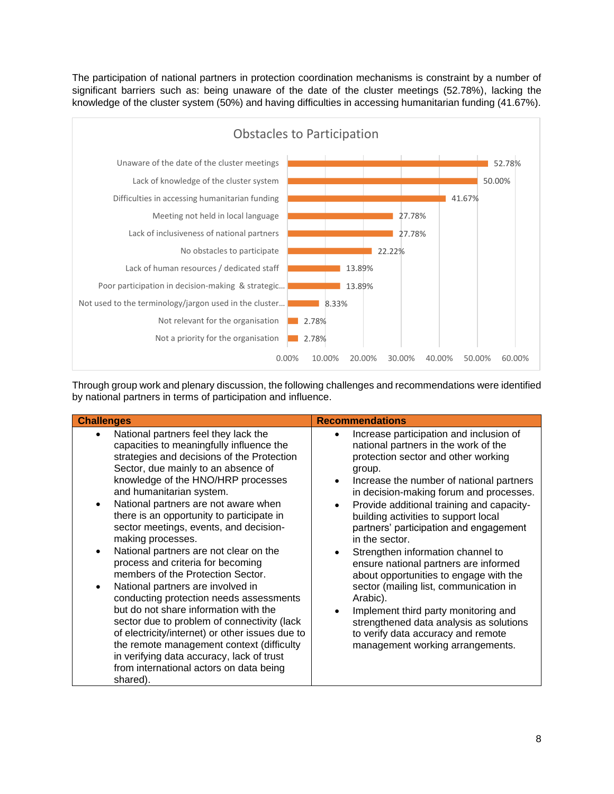The participation of national partners in protection coordination mechanisms is constraint by a number of significant barriers such as: being unaware of the date of the cluster meetings (52.78%), lacking the knowledge of the cluster system (50%) and having difficulties in accessing humanitarian funding (41.67%).



Through group work and plenary discussion, the following challenges and recommendations were identified by national partners in terms of participation and influence.

| <b>Challenges</b>                                                                                                                                                                                                                                                                                                                                                                                                                                                                                                                                                                                                                                                                                                                                                                                                                                                                           | <b>Recommendations</b>                                                                                                                                                                                                                                                                                                                                                                                                                                                                                                                                                                                                                                                                                              |
|---------------------------------------------------------------------------------------------------------------------------------------------------------------------------------------------------------------------------------------------------------------------------------------------------------------------------------------------------------------------------------------------------------------------------------------------------------------------------------------------------------------------------------------------------------------------------------------------------------------------------------------------------------------------------------------------------------------------------------------------------------------------------------------------------------------------------------------------------------------------------------------------|---------------------------------------------------------------------------------------------------------------------------------------------------------------------------------------------------------------------------------------------------------------------------------------------------------------------------------------------------------------------------------------------------------------------------------------------------------------------------------------------------------------------------------------------------------------------------------------------------------------------------------------------------------------------------------------------------------------------|
| National partners feel they lack the<br>capacities to meaningfully influence the<br>strategies and decisions of the Protection<br>Sector, due mainly to an absence of<br>knowledge of the HNO/HRP processes<br>and humanitarian system.<br>National partners are not aware when<br>there is an opportunity to participate in<br>sector meetings, events, and decision-<br>making processes.<br>National partners are not clear on the<br>process and criteria for becoming<br>members of the Protection Sector.<br>National partners are involved in<br>conducting protection needs assessments<br>but do not share information with the<br>sector due to problem of connectivity (lack<br>of electricity/internet) or other issues due to<br>the remote management context (difficulty<br>in verifying data accuracy, lack of trust<br>from international actors on data being<br>shared). | Increase participation and inclusion of<br>national partners in the work of the<br>protection sector and other working<br>group.<br>Increase the number of national partners<br>in decision-making forum and processes.<br>Provide additional training and capacity-<br>building activities to support local<br>partners' participation and engagement<br>in the sector.<br>Strengthen information channel to<br>ensure national partners are informed<br>about opportunities to engage with the<br>sector (mailing list, communication in<br>Arabic).<br>Implement third party monitoring and<br>strengthened data analysis as solutions<br>to verify data accuracy and remote<br>management working arrangements. |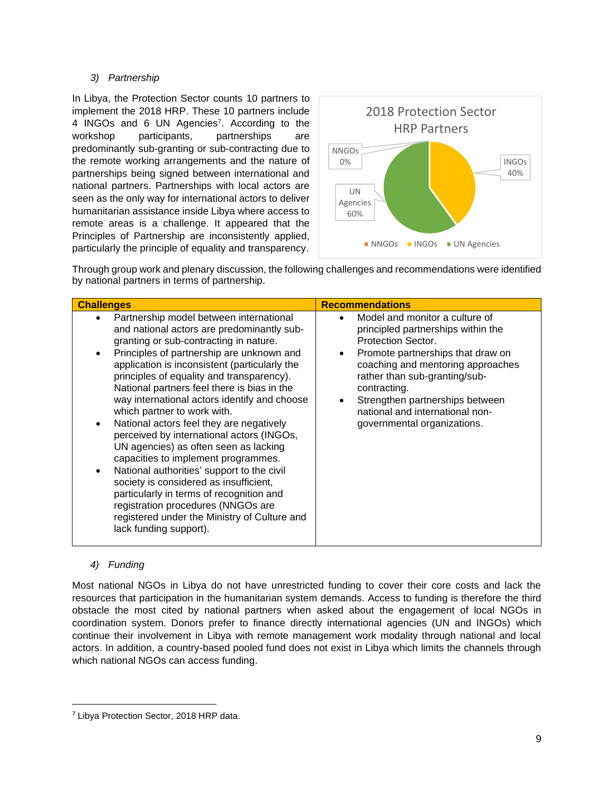#### *3) Partnership*

In Libya, the Protection Sector counts 10 partners to implement the 2018 HRP. These 10 partners include 4 INGOs and 6 UN Agencies<sup>7</sup>. According to the workshop participants, partnerships are predominantly sub-granting or sub-contracting due to the remote working arrangements and the nature of partnerships being signed between international and national partners. Partnerships with local actors are seen as the only way for international actors to deliver humanitarian assistance inside Libya where access to remote areas is a challenge. It appeared that the Principles of Partnership are inconsistently applied, particularly the principle of equality and transparency.



Through group work and plenary discussion, the following challenges and recommendations were identified by national partners in terms of partnership.

| <b>Challenges</b>                                                                                                                                                                                                                                                                                                                                                                                                                                                                                                                                                                                                                                                                                                                                                                                                                     | <b>Recommendations</b>                                                                                                                                                                                                                                                                                                     |
|---------------------------------------------------------------------------------------------------------------------------------------------------------------------------------------------------------------------------------------------------------------------------------------------------------------------------------------------------------------------------------------------------------------------------------------------------------------------------------------------------------------------------------------------------------------------------------------------------------------------------------------------------------------------------------------------------------------------------------------------------------------------------------------------------------------------------------------|----------------------------------------------------------------------------------------------------------------------------------------------------------------------------------------------------------------------------------------------------------------------------------------------------------------------------|
| Partnership model between international<br>and national actors are predominantly sub-<br>granting or sub-contracting in nature.<br>Principles of partnership are unknown and<br>application is inconsistent (particularly the<br>principles of equality and transparency).<br>National partners feel there is bias in the<br>way international actors identify and choose<br>which partner to work with.<br>National actors feel they are negatively<br>perceived by international actors (INGOs,<br>UN agencies) as often seen as lacking<br>capacities to implement programmes.<br>National authorities' support to the civil<br>society is considered as insufficient,<br>particularly in terms of recognition and<br>registration procedures (NNGOs are<br>registered under the Ministry of Culture and<br>lack funding support). | Model and monitor a culture of<br>principled partnerships within the<br>Protection Sector.<br>Promote partnerships that draw on<br>coaching and mentoring approaches<br>rather than sub-granting/sub-<br>contracting.<br>Strengthen partnerships between<br>national and international non-<br>governmental organizations. |

#### *4) Funding*

 $\overline{\phantom{a}}$ 

Most national NGOs in Libya do not have unrestricted funding to cover their core costs and lack the resources that participation in the humanitarian system demands. Access to funding is therefore the third obstacle the most cited by national partners when asked about the engagement of local NGOs in coordination system. Donors prefer to finance directly international agencies (UN and INGOs) which continue their involvement in Libya with remote management work modality through national and local actors. In addition, a country-based pooled fund does not exist in Libya which limits the channels through which national NGOs can access funding.

<sup>7</sup> Libya Protection Sector, 2018 HRP data.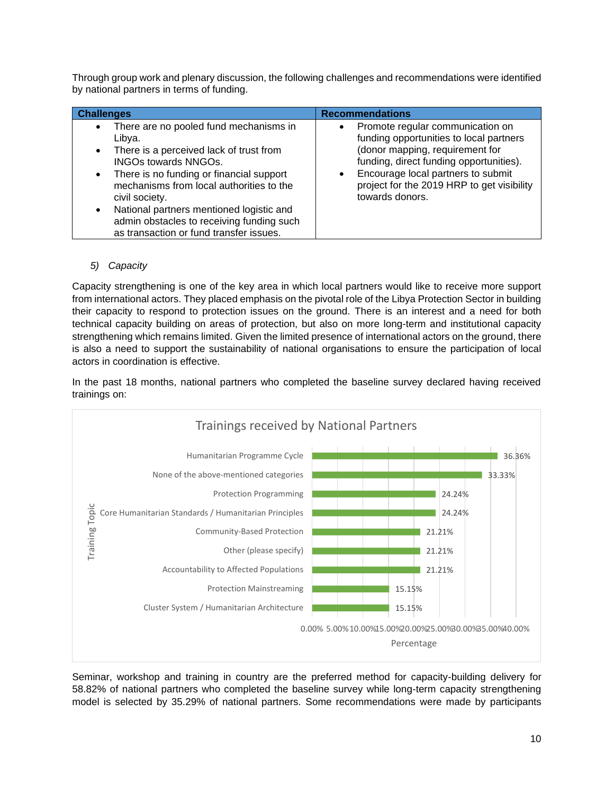Through group work and plenary discussion, the following challenges and recommendations were identified by national partners in terms of funding.

| <b>Challenges</b>                                                                                                                                                                                                                                                                                                                                                                                                            | <b>Recommendations</b>                                                                                                                                                                                                                                                          |
|------------------------------------------------------------------------------------------------------------------------------------------------------------------------------------------------------------------------------------------------------------------------------------------------------------------------------------------------------------------------------------------------------------------------------|---------------------------------------------------------------------------------------------------------------------------------------------------------------------------------------------------------------------------------------------------------------------------------|
| There are no pooled fund mechanisms in<br>$\bullet$<br>Libya.<br>There is a perceived lack of trust from<br>$\bullet$<br><b>INGOs towards NNGOs.</b><br>There is no funding or financial support<br>$\bullet$<br>mechanisms from local authorities to the<br>civil society.<br>National partners mentioned logistic and<br>$\bullet$<br>admin obstacles to receiving funding such<br>as transaction or fund transfer issues. | • Promote regular communication on<br>funding opportunities to local partners<br>(donor mapping, requirement for<br>funding, direct funding opportunities).<br>Encourage local partners to submit<br>$\bullet$<br>project for the 2019 HRP to get visibility<br>towards donors. |

#### *5) Capacity*

Capacity strengthening is one of the key area in which local partners would like to receive more support from international actors. They placed emphasis on the pivotal role of the Libya Protection Sector in building their capacity to respond to protection issues on the ground. There is an interest and a need for both technical capacity building on areas of protection, but also on more long-term and institutional capacity strengthening which remains limited. Given the limited presence of international actors on the ground, there is also a need to support the sustainability of national organisations to ensure the participation of local actors in coordination is effective.

In the past 18 months, national partners who completed the baseline survey declared having received trainings on:



Seminar, workshop and training in country are the preferred method for capacity-building delivery for 58.82% of national partners who completed the baseline survey while long-term capacity strengthening model is selected by 35.29% of national partners. Some recommendations were made by participants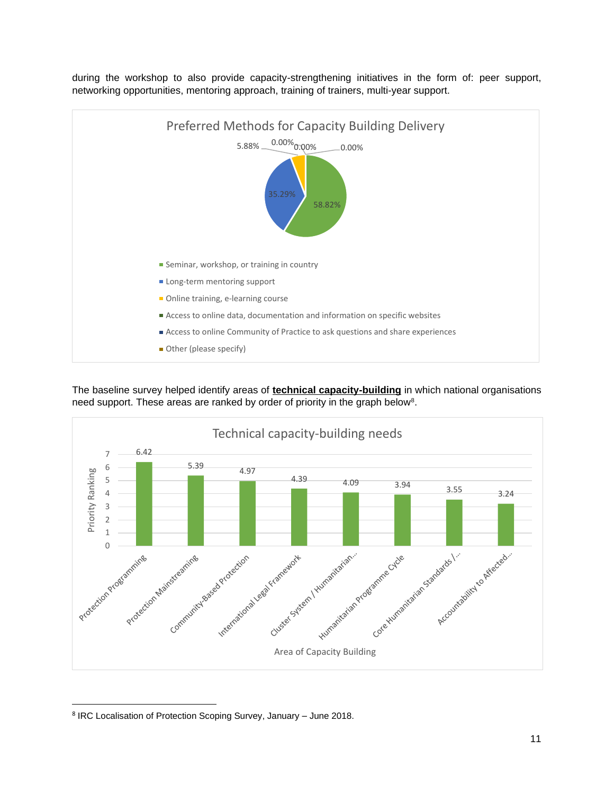

during the workshop to also provide capacity-strengthening initiatives in the form of: peer support, networking opportunities, mentoring approach, training of trainers, multi-year support.

The baseline survey helped identify areas of **technical capacity-building** in which national organisations need support. These areas are ranked by order of priority in the graph below<sup>8</sup>.



<sup>&</sup>lt;sup>8</sup> IRC Localisation of Protection Scoping Survey, January - June 2018.

 $\overline{\phantom{a}}$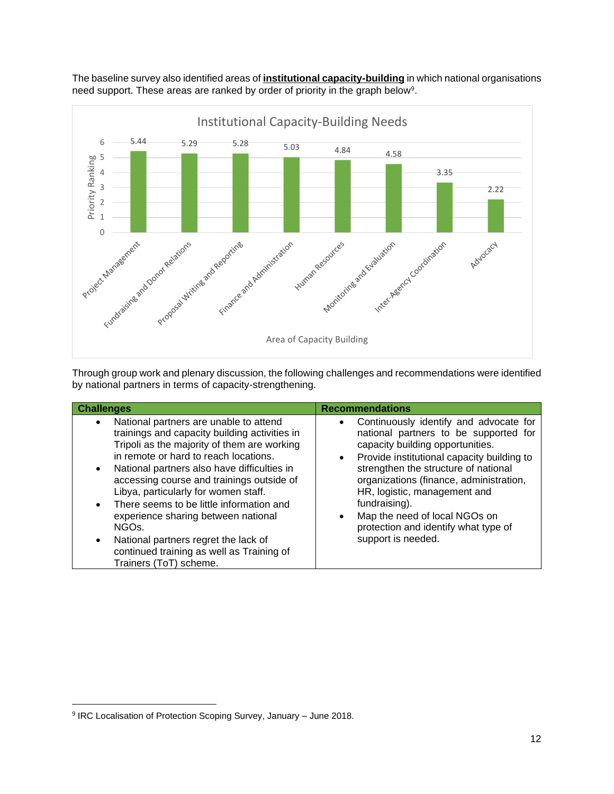

The baseline survey also identified areas of **institutional capacity-building** in which national organisations need support. These areas are ranked by order of priority in the graph below<sup>9</sup>.

Through group work and plenary discussion, the following challenges and recommendations were identified by national partners in terms of capacity-strengthening.

| <b>Challenges</b>                                                                                                                                                                                                                                                                                                                                                                                                                                                                                                                                                                             | <b>Recommendations</b>                                                                                                                                                                                                                                                                                                                                                                                                         |
|-----------------------------------------------------------------------------------------------------------------------------------------------------------------------------------------------------------------------------------------------------------------------------------------------------------------------------------------------------------------------------------------------------------------------------------------------------------------------------------------------------------------------------------------------------------------------------------------------|--------------------------------------------------------------------------------------------------------------------------------------------------------------------------------------------------------------------------------------------------------------------------------------------------------------------------------------------------------------------------------------------------------------------------------|
| National partners are unable to attend<br>$\bullet$<br>trainings and capacity building activities in<br>Tripoli as the majority of them are working<br>in remote or hard to reach locations.<br>National partners also have difficulties in<br>$\bullet$<br>accessing course and trainings outside of<br>Libya, particularly for women staff.<br>There seems to be little information and<br>$\bullet$<br>experience sharing between national<br>NGO <sub>s</sub><br>National partners regret the lack of<br>$\bullet$<br>continued training as well as Training of<br>Trainers (ToT) scheme. | Continuously identify and advocate for<br>$\bullet$<br>national partners to be supported for<br>capacity building opportunities.<br>Provide institutional capacity building to<br>$\bullet$<br>strengthen the structure of national<br>organizations (finance, administration,<br>HR, logistic, management and<br>fundraising).<br>Map the need of local NGOs on<br>protection and identify what type of<br>support is needed. |

 $\overline{\phantom{a}}$ 

<sup>&</sup>lt;sup>9</sup> IRC Localisation of Protection Scoping Survey, January - June 2018.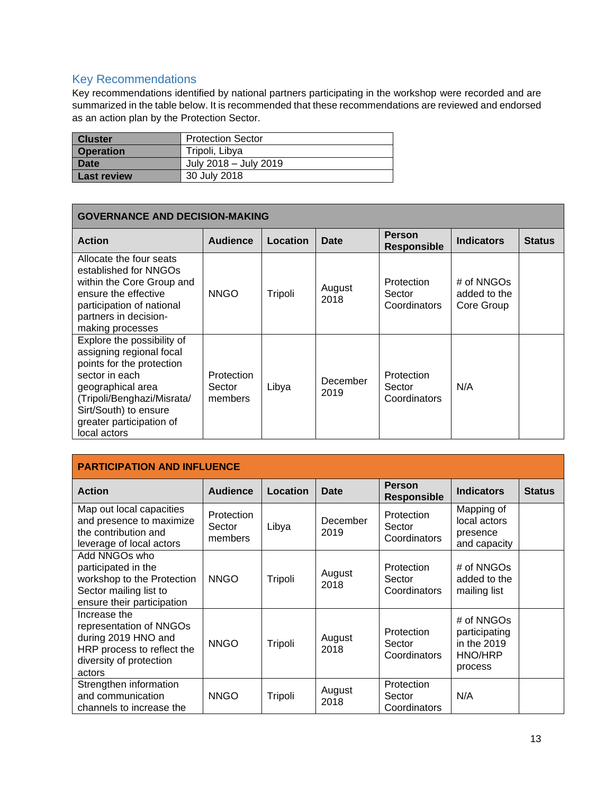## <span id="page-12-0"></span>Key Recommendations

Key recommendations identified by national partners participating in the workshop were recorded and are summarized in the table below. It is recommended that these recommendations are reviewed and endorsed as an action plan by the Protection Sector.

| <b>Cluster</b>   | <b>Protection Sector</b> |
|------------------|--------------------------|
| <b>Operation</b> | Tripoli, Libya           |
| <b>Date</b>      | July 2018 - July 2019    |
| Last review      | 30 July 2018             |

| <b>GOVERNANCE AND DECISION-MAKING</b>                                                                                                                                                                                         |                                 |          |                  |                                      |                                          |               |  |
|-------------------------------------------------------------------------------------------------------------------------------------------------------------------------------------------------------------------------------|---------------------------------|----------|------------------|--------------------------------------|------------------------------------------|---------------|--|
| <b>Action</b>                                                                                                                                                                                                                 | <b>Audience</b>                 | Location | Date             | <b>Person</b><br><b>Responsible</b>  | <b>Indicators</b>                        | <b>Status</b> |  |
| Allocate the four seats<br>established for NNGOs<br>within the Core Group and<br>ensure the effective<br>participation of national<br>partners in decision-<br>making processes                                               | <b>NNGO</b>                     | Tripoli  | August<br>2018   | Protection<br>Sector<br>Coordinators | # of NNGOs<br>added to the<br>Core Group |               |  |
| Explore the possibility of<br>assigning regional focal<br>points for the protection<br>sector in each<br>geographical area<br>(Tripoli/Benghazi/Misrata/<br>Sirt/South) to ensure<br>greater participation of<br>local actors | Protection<br>Sector<br>members | Libya    | December<br>2019 | Protection<br>Sector<br>Coordinators | N/A                                      |               |  |

| <b>PARTICIPATION AND INFLUENCE</b>                                                                                                |                                 |          |                  |                                      |                                                                  |               |  |  |
|-----------------------------------------------------------------------------------------------------------------------------------|---------------------------------|----------|------------------|--------------------------------------|------------------------------------------------------------------|---------------|--|--|
| <b>Action</b>                                                                                                                     | <b>Audience</b>                 | Location | Date             | <b>Person</b><br><b>Responsible</b>  | <b>Indicators</b>                                                | <b>Status</b> |  |  |
| Map out local capacities<br>and presence to maximize<br>the contribution and<br>leverage of local actors                          | Protection<br>Sector<br>members | Libya    | December<br>2019 | Protection<br>Sector<br>Coordinators | Mapping of<br>local actors<br>presence<br>and capacity           |               |  |  |
| Add NNGOs who<br>participated in the<br>workshop to the Protection<br>Sector mailing list to<br>ensure their participation        | <b>NNGO</b>                     | Tripoli  | August<br>2018   | Protection<br>Sector<br>Coordinators | # of NNGOs<br>added to the<br>mailing list                       |               |  |  |
| Increase the<br>representation of NNGOs<br>during 2019 HNO and<br>HRP process to reflect the<br>diversity of protection<br>actors | <b>NNGO</b>                     | Tripoli  | August<br>2018   | Protection<br>Sector<br>Coordinators | # of NNGOs<br>participating<br>in the 2019<br>HNO/HRP<br>process |               |  |  |
| Strengthen information<br>and communication<br>channels to increase the                                                           | <b>NNGO</b>                     | Tripoli  | August<br>2018   | Protection<br>Sector<br>Coordinators | N/A                                                              |               |  |  |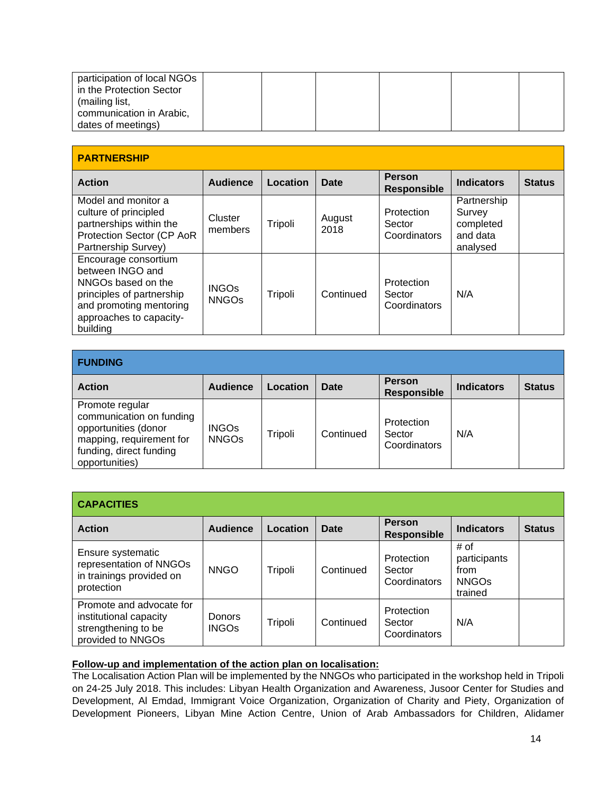| participation of local NGOs |  |  |  |
|-----------------------------|--|--|--|
|                             |  |  |  |
| in the Protection Sector    |  |  |  |
| (mailing list,              |  |  |  |
| communication in Arabic,    |  |  |  |
| dates of meetings)          |  |  |  |

| <b>PARTNERSHIP</b>                                                                                                                                            |                              |          |                |                                      |                                                            |               |  |
|---------------------------------------------------------------------------------------------------------------------------------------------------------------|------------------------------|----------|----------------|--------------------------------------|------------------------------------------------------------|---------------|--|
| <b>Action</b>                                                                                                                                                 | <b>Audience</b>              | Location | Date           | <b>Person</b><br><b>Responsible</b>  | <b>Indicators</b>                                          | <b>Status</b> |  |
| Model and monitor a<br>culture of principled<br>partnerships within the<br>Protection Sector (CP AoR<br>Partnership Survey)                                   | Cluster<br>members           | Tripoli  | August<br>2018 | Protection<br>Sector<br>Coordinators | Partnership<br>Survey<br>completed<br>and data<br>analysed |               |  |
| Encourage consortium<br>between INGO and<br>NNGOs based on the<br>principles of partnership<br>and promoting mentoring<br>approaches to capacity-<br>building | <b>INGOS</b><br><b>NNGOS</b> | Tripoli  | Continued      | Protection<br>Sector<br>Coordinators | N/A                                                        |               |  |

| <b>FUNDING</b>                                                                                                                               |                              |          |           |                                      |                   |               |  |
|----------------------------------------------------------------------------------------------------------------------------------------------|------------------------------|----------|-----------|--------------------------------------|-------------------|---------------|--|
| <b>Action</b>                                                                                                                                | <b>Audience</b>              | Location | Date      | <b>Person</b><br><b>Responsible</b>  | <b>Indicators</b> | <b>Status</b> |  |
| Promote regular<br>communication on funding<br>opportunities (donor<br>mapping, requirement for<br>funding, direct funding<br>opportunities) | <b>INGOs</b><br><b>NNGOs</b> | Tripoli  | Continued | Protection<br>Sector<br>Coordinators | N/A               |               |  |

| <b>CAPACITIES</b>                                                                              |                        |          |           |                                      |                                                         |               |  |  |  |
|------------------------------------------------------------------------------------------------|------------------------|----------|-----------|--------------------------------------|---------------------------------------------------------|---------------|--|--|--|
| <b>Action</b>                                                                                  | <b>Audience</b>        | Location | Date      | <b>Person</b><br><b>Responsible</b>  | <b>Indicators</b>                                       | <b>Status</b> |  |  |  |
| Ensure systematic<br>representation of NNGOs<br>in trainings provided on<br>protection         | <b>NNGO</b>            | Tripoli  | Continued | Protection<br>Sector<br>Coordinators | # of<br>participants<br>from<br><b>NNGOS</b><br>trained |               |  |  |  |
| Promote and advocate for<br>institutional capacity<br>strengthening to be<br>provided to NNGOs | Donors<br><b>INGOs</b> | Tripoli  | Continued | Protection<br>Sector<br>Coordinators | N/A                                                     |               |  |  |  |

## **Follow-up and implementation of the action plan on localisation:**

The Localisation Action Plan will be implemented by the NNGOs who participated in the workshop held in Tripoli on 24-25 July 2018. This includes: Libyan Health Organization and Awareness, Jusoor Center for Studies and Development, Al Emdad, Immigrant Voice Organization, Organization of Charity and Piety, Organization of Development Pioneers, Libyan Mine Action Centre, Union of Arab Ambassadors for Children, Alidamer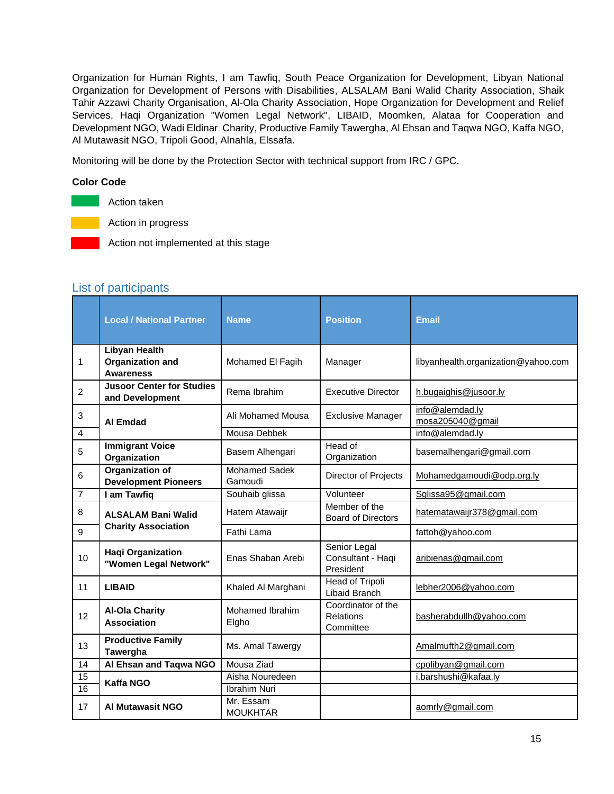Organization for Human Rights, I am Tawfiq, South Peace Organization for Development, Libyan National Organization for Development of Persons with Disabilities, ALSALAM Bani Walid Charity Association, Shaik Tahir Azzawi Charity Organisation, Al-Ola Charity Association, Hope Organization for Development and Relief Services, Haqi Organization "Women Legal Network", LIBAID, Moomken, Alataa for Cooperation and Development NGO, Wadi Eldinar Charity, Productive Family Tawergha, Al Ehsan and Taqwa NGO, Kaffa NGO, Al Mutawasit NGO, Tripoli Good, Alnahla, Elssafa.

Monitoring will be done by the Protection Sector with technical support from IRC / GPC.

#### **Color Code**

Action taken

Action in progress

Action not implemented at this stage

### <span id="page-14-0"></span>List of participants

|                | <b>Local / National Partner</b>                                                   | <b>Name</b>       | <b>Position</b>                                     | <b>Email</b>                        |  |
|----------------|-----------------------------------------------------------------------------------|-------------------|-----------------------------------------------------|-------------------------------------|--|
| 1              | <b>Libyan Health</b><br><b>Organization and</b><br><b>Awareness</b>               | Mohamed El Fagih  | Manager                                             | libyanhealth.organization@yahoo.com |  |
| $\overline{2}$ | <b>Jusoor Center for Studies</b><br>Rema Ibrahim<br>and Development               |                   | <b>Executive Director</b>                           | h.bugaighis@jusoor.ly               |  |
| $\sqrt{3}$     | <b>Al Emdad</b>                                                                   | Ali Mohamed Mousa | <b>Exclusive Manager</b>                            | info@alemdad.ly<br>mosa205040@gmail |  |
| $\overline{4}$ |                                                                                   | Mousa Debbek      |                                                     | info@alemdad.ly                     |  |
| $\overline{5}$ | <b>Immigrant Voice</b><br>Organization                                            | Basem Alhengari   | Head of<br>Organization                             | basemalhengari@gmail.com            |  |
| 6              | Organization of<br><b>Mohamed Sadek</b><br><b>Development Pioneers</b><br>Gamoudi |                   | Director of Projects                                | Mohamedgamoudi@odp.org.ly           |  |
| 7              | I am Tawfiq                                                                       | Souhaib glissa    | Volunteer                                           | Sglissa95@gmail.com                 |  |
| 8              | <b>ALSALAM Bani Walid</b>                                                         | Hatem Atawaijr    | Member of the<br><b>Board of Directors</b>          | hatematawaijr378@gmail.com          |  |
| 9              | <b>Charity Association</b>                                                        | Fathi Lama        |                                                     | fattoh@yahoo.com                    |  |
| 10             | <b>Haqi Organization</b><br>"Women Legal Network"                                 | Enas Shaban Arebi | Senior Legal<br>Consultant - Haqi<br>President      | aribienas@gmail.com                 |  |
| 11             | <b>LIBAID</b><br>Khaled Al Marghani                                               |                   | Head of Tripoli<br>Libaid Branch                    | lebher2006@yahoo.com                |  |
| 12             | <b>Al-Ola Charity</b><br>Mohamed Ibrahim<br><b>Association</b><br>Elgho           |                   | Coordinator of the<br><b>Relations</b><br>Committee | basherabdullh@yahoo.com             |  |
| 13             | <b>Productive Family</b><br>Ms. Amal Tawergy<br>Tawergha                          |                   |                                                     | Amalmufth2@gmail.com                |  |
| 14             | Al Ehsan and Taqwa NGO                                                            | Mousa Ziad        |                                                     | cpolibyan@gmail.com                 |  |
| 15             |                                                                                   | Aisha Nouredeen   |                                                     | i.barshushi@kafaa.ly                |  |
| 16             | <b>Kaffa NGO</b>                                                                  | Ibrahim Nuri      |                                                     |                                     |  |
| 17             | Mr. Essam<br><b>Al Mutawasit NGO</b><br><b>MOUKHTAR</b>                           |                   |                                                     | aomrly@gmail.com                    |  |